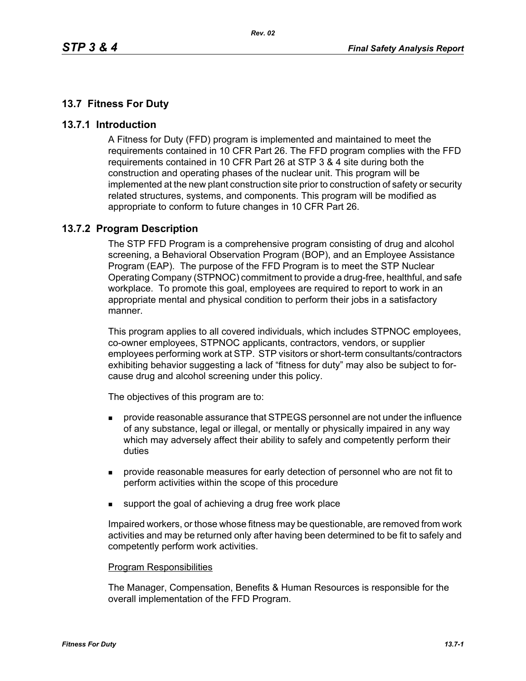# **13.7 Fitness For Duty**

## **13.7.1 Introduction**

A Fitness for Duty (FFD) program is implemented and maintained to meet the requirements contained in 10 CFR Part 26. The FFD program complies with the FFD requirements contained in 10 CFR Part 26 at STP 3 & 4 site during both the construction and operating phases of the nuclear unit. This program will be implemented at the new plant construction site prior to construction of safety or security related structures, systems, and components. This program will be modified as appropriate to conform to future changes in 10 CFR Part 26.

# **13.7.2 Program Description**

The STP FFD Program is a comprehensive program consisting of drug and alcohol screening, a Behavioral Observation Program (BOP), and an Employee Assistance Program (EAP). The purpose of the FFD Program is to meet the STP Nuclear Operating Company (STPNOC) commitment to provide a drug-free, healthful, and safe workplace. To promote this goal, employees are required to report to work in an appropriate mental and physical condition to perform their jobs in a satisfactory manner.

This program applies to all covered individuals, which includes STPNOC employees, co-owner employees, STPNOC applicants, contractors, vendors, or supplier employees performing work at STP. STP visitors or short-term consultants/contractors exhibiting behavior suggesting a lack of "fitness for duty" may also be subject to forcause drug and alcohol screening under this policy.

The objectives of this program are to:

- provide reasonable assurance that STPEGS personnel are not under the influence of any substance, legal or illegal, or mentally or physically impaired in any way which may adversely affect their ability to safely and competently perform their duties
- provide reasonable measures for early detection of personnel who are not fit to perform activities within the scope of this procedure
- support the goal of achieving a drug free work place

Impaired workers, or those whose fitness may be questionable, are removed from work activities and may be returned only after having been determined to be fit to safely and competently perform work activities.

#### Program Responsibilities

The Manager, Compensation, Benefits & Human Resources is responsible for the overall implementation of the FFD Program.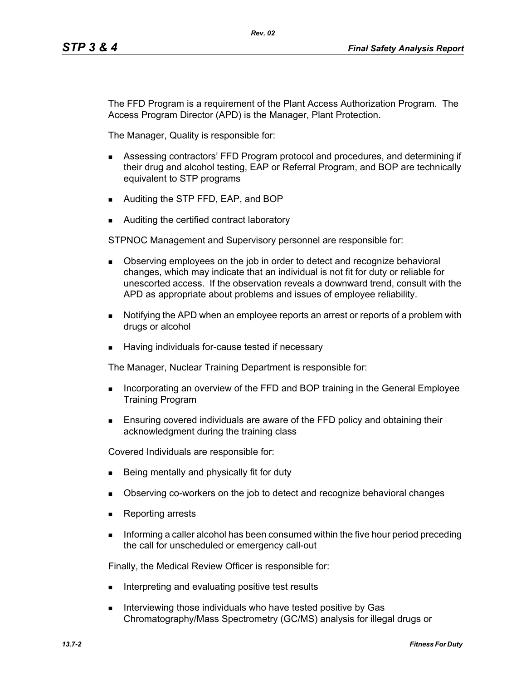The FFD Program is a requirement of the Plant Access Authorization Program. The Access Program Director (APD) is the Manager, Plant Protection.

*Rev. 02*

The Manager, Quality is responsible for:

- Assessing contractors' FFD Program protocol and procedures, and determining if their drug and alcohol testing, EAP or Referral Program, and BOP are technically equivalent to STP programs
- **Auditing the STP FFD, EAP, and BOP**
- Auditing the certified contract laboratory

STPNOC Management and Supervisory personnel are responsible for:

- **Depending 1** Observing employees on the job in order to detect and recognize behavioral changes, which may indicate that an individual is not fit for duty or reliable for unescorted access. If the observation reveals a downward trend, consult with the APD as appropriate about problems and issues of employee reliability.
- Notifying the APD when an employee reports an arrest or reports of a problem with drugs or alcohol
- Having individuals for-cause tested if necessary

The Manager, Nuclear Training Department is responsible for:

- **Incorporating an overview of the FFD and BOP training in the General Employee** Training Program
- Ensuring covered individuals are aware of the FFD policy and obtaining their acknowledgment during the training class

Covered Individuals are responsible for:

- Being mentally and physically fit for duty
- Diserving co-workers on the job to detect and recognize behavioral changes
- Reporting arrests
- Informing a caller alcohol has been consumed within the five hour period preceding the call for unscheduled or emergency call-out

Finally, the Medical Review Officer is responsible for:

- Interpreting and evaluating positive test results
- Interviewing those individuals who have tested positive by Gas Chromatography/Mass Spectrometry (GC/MS) analysis for illegal drugs or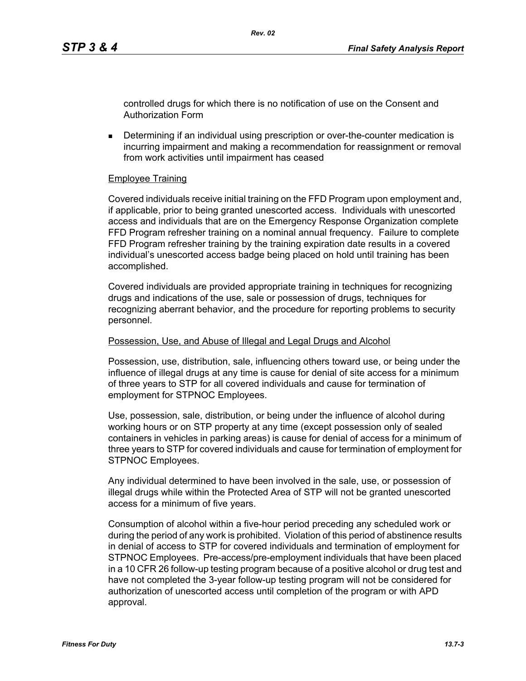controlled drugs for which there is no notification of use on the Consent and Authorization Form

**Determining if an individual using prescription or over-the-counter medication is** incurring impairment and making a recommendation for reassignment or removal from work activities until impairment has ceased

## Employee Training

Covered individuals receive initial training on the FFD Program upon employment and, if applicable, prior to being granted unescorted access. Individuals with unescorted access and individuals that are on the Emergency Response Organization complete FFD Program refresher training on a nominal annual frequency. Failure to complete FFD Program refresher training by the training expiration date results in a covered individual's unescorted access badge being placed on hold until training has been accomplished.

Covered individuals are provided appropriate training in techniques for recognizing drugs and indications of the use, sale or possession of drugs, techniques for recognizing aberrant behavior, and the procedure for reporting problems to security personnel.

#### Possession, Use, and Abuse of Illegal and Legal Drugs and Alcohol

Possession, use, distribution, sale, influencing others toward use, or being under the influence of illegal drugs at any time is cause for denial of site access for a minimum of three years to STP for all covered individuals and cause for termination of employment for STPNOC Employees.

Use, possession, sale, distribution, or being under the influence of alcohol during working hours or on STP property at any time (except possession only of sealed containers in vehicles in parking areas) is cause for denial of access for a minimum of three years to STP for covered individuals and cause for termination of employment for STPNOC Employees.

Any individual determined to have been involved in the sale, use, or possession of illegal drugs while within the Protected Area of STP will not be granted unescorted access for a minimum of five years.

Consumption of alcohol within a five-hour period preceding any scheduled work or during the period of any work is prohibited. Violation of this period of abstinence results in denial of access to STP for covered individuals and termination of employment for STPNOC Employees. Pre-access/pre-employment individuals that have been placed in a 10 CFR 26 follow-up testing program because of a positive alcohol or drug test and have not completed the 3-year follow-up testing program will not be considered for authorization of unescorted access until completion of the program or with APD approval.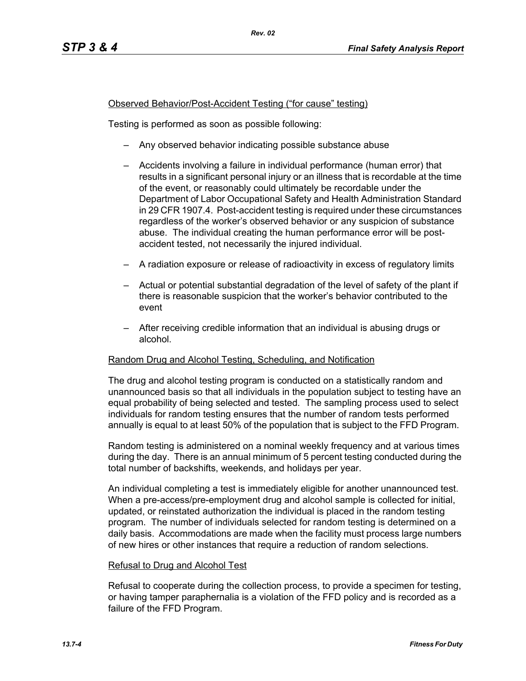## Observed Behavior/Post-Accident Testing ("for cause" testing)

Testing is performed as soon as possible following:

- Any observed behavior indicating possible substance abuse
- Accidents involving a failure in individual performance (human error) that results in a significant personal injury or an illness that is recordable at the time of the event, or reasonably could ultimately be recordable under the Department of Labor Occupational Safety and Health Administration Standard in 29 CFR 1907.4. Post-accident testing is required under these circumstances regardless of the worker's observed behavior or any suspicion of substance abuse. The individual creating the human performance error will be postaccident tested, not necessarily the injured individual.
- A radiation exposure or release of radioactivity in excess of regulatory limits
- Actual or potential substantial degradation of the level of safety of the plant if there is reasonable suspicion that the worker's behavior contributed to the event
- After receiving credible information that an individual is abusing drugs or alcohol.

#### Random Drug and Alcohol Testing, Scheduling, and Notification

The drug and alcohol testing program is conducted on a statistically random and unannounced basis so that all individuals in the population subject to testing have an equal probability of being selected and tested. The sampling process used to select individuals for random testing ensures that the number of random tests performed annually is equal to at least 50% of the population that is subject to the FFD Program.

Random testing is administered on a nominal weekly frequency and at various times during the day. There is an annual minimum of 5 percent testing conducted during the total number of backshifts, weekends, and holidays per year.

An individual completing a test is immediately eligible for another unannounced test. When a pre-access/pre-employment drug and alcohol sample is collected for initial, updated, or reinstated authorization the individual is placed in the random testing program. The number of individuals selected for random testing is determined on a daily basis. Accommodations are made when the facility must process large numbers of new hires or other instances that require a reduction of random selections.

#### Refusal to Drug and Alcohol Test

Refusal to cooperate during the collection process, to provide a specimen for testing, or having tamper paraphernalia is a violation of the FFD policy and is recorded as a failure of the FFD Program.